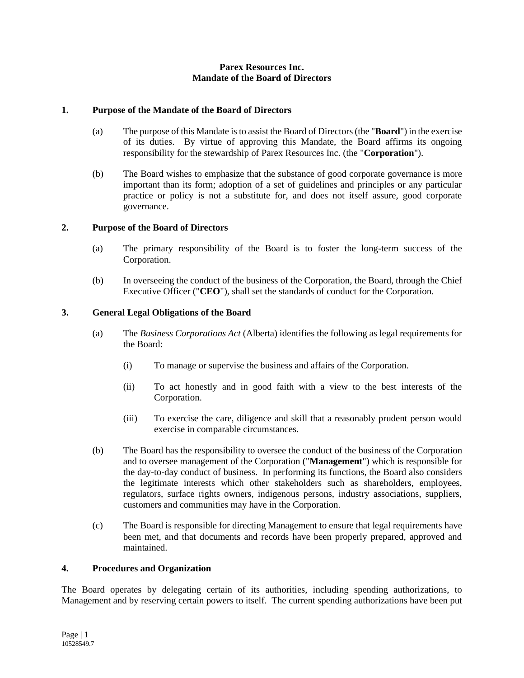## **Parex Resources Inc. Mandate of the Board of Directors**

## **1. Purpose of the Mandate of the Board of Directors**

- (a) The purpose of this Mandate is to assist the Board of Directors (the "**Board**") in the exercise of its duties. By virtue of approving this Mandate, the Board affirms its ongoing responsibility for the stewardship of Parex Resources Inc. (the "**Corporation**").
- (b) The Board wishes to emphasize that the substance of good corporate governance is more important than its form; adoption of a set of guidelines and principles or any particular practice or policy is not a substitute for, and does not itself assure, good corporate governance.

## **2. Purpose of the Board of Directors**

- (a) The primary responsibility of the Board is to foster the long-term success of the Corporation.
- (b) In overseeing the conduct of the business of the Corporation, the Board, through the Chief Executive Officer ("**CEO**"), shall set the standards of conduct for the Corporation.

## **3. General Legal Obligations of the Board**

- (a) The *Business Corporations Act* (Alberta) identifies the following as legal requirements for the Board:
	- (i) To manage or supervise the business and affairs of the Corporation.
	- (ii) To act honestly and in good faith with a view to the best interests of the Corporation.
	- (iii) To exercise the care, diligence and skill that a reasonably prudent person would exercise in comparable circumstances.
- (b) The Board has the responsibility to oversee the conduct of the business of the Corporation and to oversee management of the Corporation ("**Management**") which is responsible for the day-to-day conduct of business. In performing its functions, the Board also considers the legitimate interests which other stakeholders such as shareholders, employees, regulators, surface rights owners, indigenous persons, industry associations, suppliers, customers and communities may have in the Corporation.
- (c) The Board is responsible for directing Management to ensure that legal requirements have been met, and that documents and records have been properly prepared, approved and maintained.

## **4. Procedures and Organization**

The Board operates by delegating certain of its authorities, including spending authorizations, to Management and by reserving certain powers to itself. The current spending authorizations have been put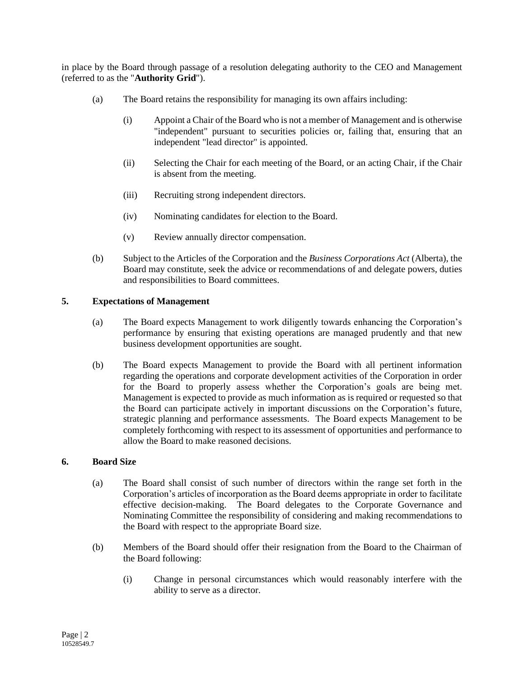in place by the Board through passage of a resolution delegating authority to the CEO and Management (referred to as the "**Authority Grid**").

- (a) The Board retains the responsibility for managing its own affairs including:
	- (i) Appoint a Chair of the Board who is not a member of Management and is otherwise "independent" pursuant to securities policies or, failing that, ensuring that an independent "lead director" is appointed.
	- (ii) Selecting the Chair for each meeting of the Board, or an acting Chair, if the Chair is absent from the meeting.
	- (iii) Recruiting strong independent directors.
	- (iv) Nominating candidates for election to the Board.
	- (v) Review annually director compensation.
- (b) Subject to the Articles of the Corporation and the *Business Corporations Act* (Alberta), the Board may constitute, seek the advice or recommendations of and delegate powers, duties and responsibilities to Board committees.

## **5. Expectations of Management**

- (a) The Board expects Management to work diligently towards enhancing the Corporation's performance by ensuring that existing operations are managed prudently and that new business development opportunities are sought.
- (b) The Board expects Management to provide the Board with all pertinent information regarding the operations and corporate development activities of the Corporation in order for the Board to properly assess whether the Corporation's goals are being met. Management is expected to provide as much information as is required or requested so that the Board can participate actively in important discussions on the Corporation's future, strategic planning and performance assessments. The Board expects Management to be completely forthcoming with respect to its assessment of opportunities and performance to allow the Board to make reasoned decisions.

## **6. Board Size**

- (a) The Board shall consist of such number of directors within the range set forth in the Corporation's articles of incorporation as the Board deems appropriate in order to facilitate effective decision-making. The Board delegates to the Corporate Governance and Nominating Committee the responsibility of considering and making recommendations to the Board with respect to the appropriate Board size.
- (b) Members of the Board should offer their resignation from the Board to the Chairman of the Board following:
	- (i) Change in personal circumstances which would reasonably interfere with the ability to serve as a director.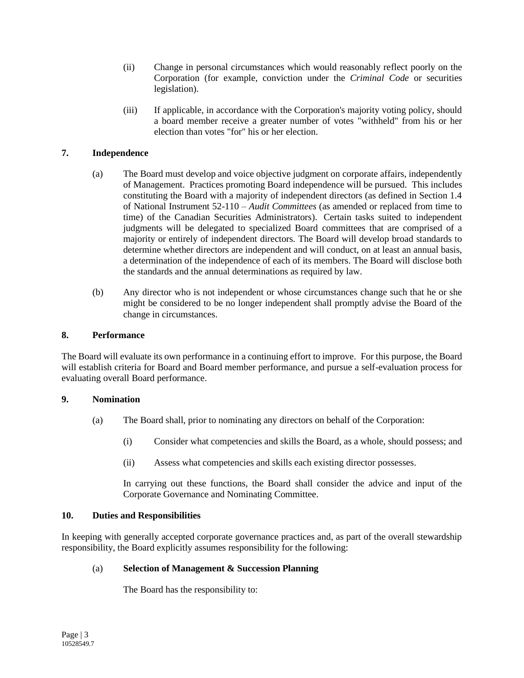- (ii) Change in personal circumstances which would reasonably reflect poorly on the Corporation (for example, conviction under the *Criminal Code* or securities legislation).
- (iii) If applicable, in accordance with the Corporation's majority voting policy, should a board member receive a greater number of votes "withheld" from his or her election than votes "for" his or her election.

## **7. Independence**

- (a) The Board must develop and voice objective judgment on corporate affairs, independently of Management. Practices promoting Board independence will be pursued. This includes constituting the Board with a majority of independent directors (as defined in Section 1.4 of National Instrument 52-110 – *Audit Committees* (as amended or replaced from time to time) of the Canadian Securities Administrators). Certain tasks suited to independent judgments will be delegated to specialized Board committees that are comprised of a majority or entirely of independent directors. The Board will develop broad standards to determine whether directors are independent and will conduct, on at least an annual basis, a determination of the independence of each of its members. The Board will disclose both the standards and the annual determinations as required by law.
- (b) Any director who is not independent or whose circumstances change such that he or she might be considered to be no longer independent shall promptly advise the Board of the change in circumstances.

## **8. Performance**

The Board will evaluate its own performance in a continuing effort to improve. For this purpose, the Board will establish criteria for Board and Board member performance, and pursue a self-evaluation process for evaluating overall Board performance.

## **9. Nomination**

- (a) The Board shall, prior to nominating any directors on behalf of the Corporation:
	- (i) Consider what competencies and skills the Board, as a whole, should possess; and
	- (ii) Assess what competencies and skills each existing director possesses.

In carrying out these functions, the Board shall consider the advice and input of the Corporate Governance and Nominating Committee.

## **10. Duties and Responsibilities**

In keeping with generally accepted corporate governance practices and, as part of the overall stewardship responsibility, the Board explicitly assumes responsibility for the following:

## (a) **Selection of Management & Succession Planning**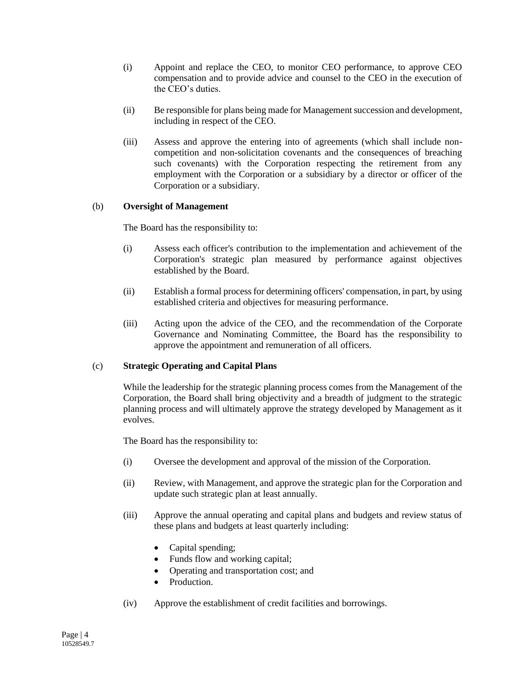- (i) Appoint and replace the CEO, to monitor CEO performance, to approve CEO compensation and to provide advice and counsel to the CEO in the execution of the CEO's duties.
- (ii) Be responsible for plans being made for Management succession and development, including in respect of the CEO.
- (iii) Assess and approve the entering into of agreements (which shall include noncompetition and non-solicitation covenants and the consequences of breaching such covenants) with the Corporation respecting the retirement from any employment with the Corporation or a subsidiary by a director or officer of the Corporation or a subsidiary.

## (b) **Oversight of Management**

The Board has the responsibility to:

- (i) Assess each officer's contribution to the implementation and achievement of the Corporation's strategic plan measured by performance against objectives established by the Board.
- (ii) Establish a formal process for determining officers' compensation, in part, by using established criteria and objectives for measuring performance.
- (iii) Acting upon the advice of the CEO, and the recommendation of the Corporate Governance and Nominating Committee, the Board has the responsibility to approve the appointment and remuneration of all officers.

## (c) **Strategic Operating and Capital Plans**

While the leadership for the strategic planning process comes from the Management of the Corporation, the Board shall bring objectivity and a breadth of judgment to the strategic planning process and will ultimately approve the strategy developed by Management as it evolves.

- (i) Oversee the development and approval of the mission of the Corporation.
- (ii) Review, with Management, and approve the strategic plan for the Corporation and update such strategic plan at least annually.
- (iii) Approve the annual operating and capital plans and budgets and review status of these plans and budgets at least quarterly including:
	- Capital spending;
	- Funds flow and working capital;
	- Operating and transportation cost; and
	- Production
- (iv) Approve the establishment of credit facilities and borrowings.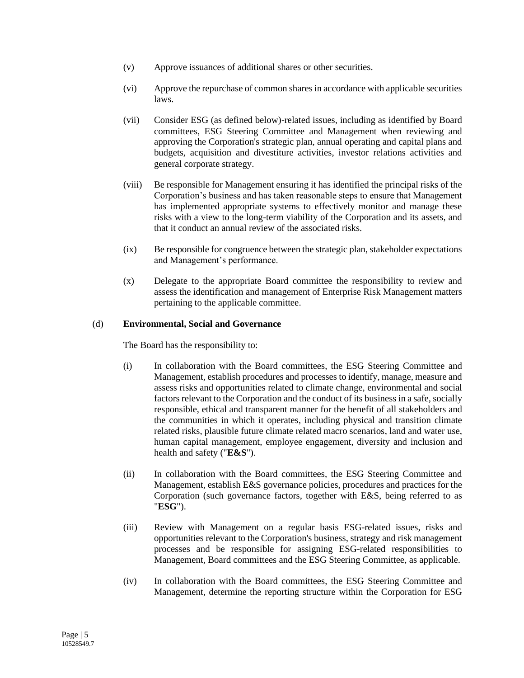- (v) Approve issuances of additional shares or other securities.
- (vi) Approve the repurchase of common shares in accordance with applicable securities laws.
- (vii) Consider ESG (as defined below)-related issues, including as identified by Board committees, ESG Steering Committee and Management when reviewing and approving the Corporation's strategic plan, annual operating and capital plans and budgets, acquisition and divestiture activities, investor relations activities and general corporate strategy.
- (viii) Be responsible for Management ensuring it has identified the principal risks of the Corporation's business and has taken reasonable steps to ensure that Management has implemented appropriate systems to effectively monitor and manage these risks with a view to the long-term viability of the Corporation and its assets, and that it conduct an annual review of the associated risks.
- (ix) Be responsible for congruence between the strategic plan, stakeholder expectations and Management's performance.
- (x) Delegate to the appropriate Board committee the responsibility to review and assess the identification and management of Enterprise Risk Management matters pertaining to the applicable committee.

## (d) **Environmental, Social and Governance**

- (i) In collaboration with the Board committees, the ESG Steering Committee and Management, establish procedures and processes to identify, manage, measure and assess risks and opportunities related to climate change, environmental and social factors relevant to the Corporation and the conduct of its business in a safe, socially responsible, ethical and transparent manner for the benefit of all stakeholders and the communities in which it operates, including physical and transition climate related risks, plausible future climate related macro scenarios, land and water use, human capital management, employee engagement, diversity and inclusion and health and safety ("**E&S**").
- (ii) In collaboration with the Board committees, the ESG Steering Committee and Management, establish E&S governance policies, procedures and practices for the Corporation (such governance factors, together with E&S, being referred to as "**ESG**").
- (iii) Review with Management on a regular basis ESG-related issues, risks and opportunities relevant to the Corporation's business, strategy and risk management processes and be responsible for assigning ESG-related responsibilities to Management, Board committees and the ESG Steering Committee, as applicable.
- (iv) In collaboration with the Board committees, the ESG Steering Committee and Management, determine the reporting structure within the Corporation for ESG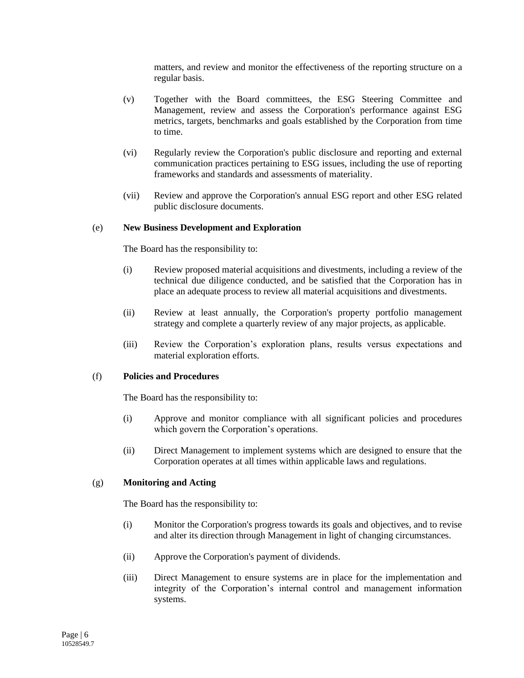matters, and review and monitor the effectiveness of the reporting structure on a regular basis.

- (v) Together with the Board committees, the ESG Steering Committee and Management, review and assess the Corporation's performance against ESG metrics, targets, benchmarks and goals established by the Corporation from time to time.
- (vi) Regularly review the Corporation's public disclosure and reporting and external communication practices pertaining to ESG issues, including the use of reporting frameworks and standards and assessments of materiality.
- (vii) Review and approve the Corporation's annual ESG report and other ESG related public disclosure documents.

#### (e) **New Business Development and Exploration**

The Board has the responsibility to:

- (i) Review proposed material acquisitions and divestments, including a review of the technical due diligence conducted, and be satisfied that the Corporation has in place an adequate process to review all material acquisitions and divestments.
- (ii) Review at least annually, the Corporation's property portfolio management strategy and complete a quarterly review of any major projects, as applicable.
- (iii) Review the Corporation's exploration plans, results versus expectations and material exploration efforts.

## (f) **Policies and Procedures**

The Board has the responsibility to:

- (i) Approve and monitor compliance with all significant policies and procedures which govern the Corporation's operations.
- (ii) Direct Management to implement systems which are designed to ensure that the Corporation operates at all times within applicable laws and regulations.

#### (g) **Monitoring and Acting**

- (i) Monitor the Corporation's progress towards its goals and objectives, and to revise and alter its direction through Management in light of changing circumstances.
- (ii) Approve the Corporation's payment of dividends.
- (iii) Direct Management to ensure systems are in place for the implementation and integrity of the Corporation's internal control and management information systems.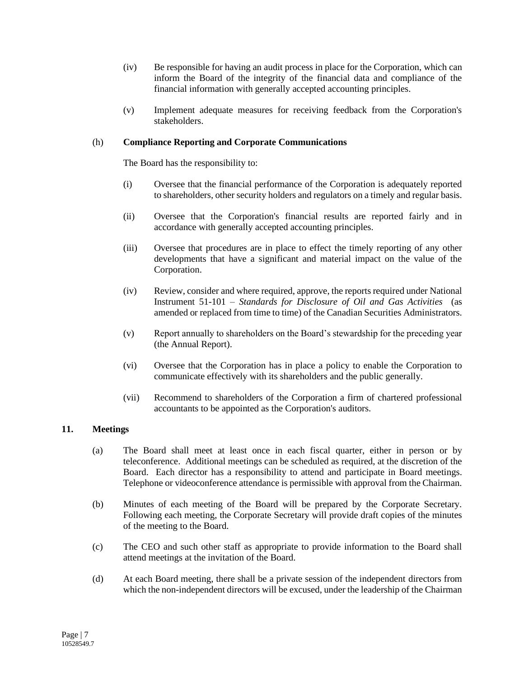- (iv) Be responsible for having an audit process in place for the Corporation, which can inform the Board of the integrity of the financial data and compliance of the financial information with generally accepted accounting principles.
- (v) Implement adequate measures for receiving feedback from the Corporation's stakeholders.

## (h) **Compliance Reporting and Corporate Communications**

The Board has the responsibility to:

- (i) Oversee that the financial performance of the Corporation is adequately reported to shareholders, other security holders and regulators on a timely and regular basis.
- (ii) Oversee that the Corporation's financial results are reported fairly and in accordance with generally accepted accounting principles.
- (iii) Oversee that procedures are in place to effect the timely reporting of any other developments that have a significant and material impact on the value of the Corporation.
- (iv) Review, consider and where required, approve, the reports required under National Instrument 51-101 – *Standards for Disclosure of Oil and Gas Activities* (as amended or replaced from time to time) of the Canadian Securities Administrators.
- (v) Report annually to shareholders on the Board's stewardship for the preceding year (the Annual Report).
- (vi) Oversee that the Corporation has in place a policy to enable the Corporation to communicate effectively with its shareholders and the public generally.
- (vii) Recommend to shareholders of the Corporation a firm of chartered professional accountants to be appointed as the Corporation's auditors.

## **11. Meetings**

- (a) The Board shall meet at least once in each fiscal quarter, either in person or by teleconference. Additional meetings can be scheduled as required, at the discretion of the Board. Each director has a responsibility to attend and participate in Board meetings. Telephone or videoconference attendance is permissible with approval from the Chairman.
- (b) Minutes of each meeting of the Board will be prepared by the Corporate Secretary. Following each meeting, the Corporate Secretary will provide draft copies of the minutes of the meeting to the Board.
- (c) The CEO and such other staff as appropriate to provide information to the Board shall attend meetings at the invitation of the Board.
- (d) At each Board meeting, there shall be a private session of the independent directors from which the non-independent directors will be excused, under the leadership of the Chairman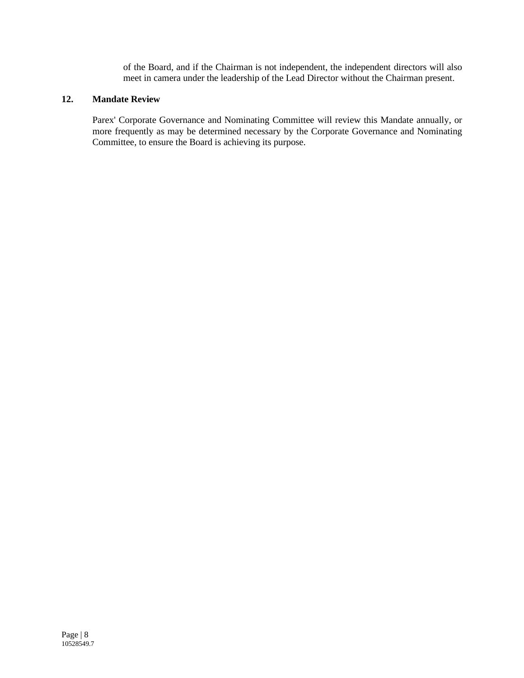of the Board, and if the Chairman is not independent, the independent directors will also meet in camera under the leadership of the Lead Director without the Chairman present.

# **12. Mandate Review**

Parex' Corporate Governance and Nominating Committee will review this Mandate annually, or more frequently as may be determined necessary by the Corporate Governance and Nominating Committee, to ensure the Board is achieving its purpose.